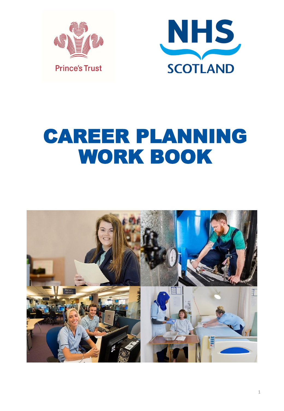



## CAREER PLANNING WORK BOOK

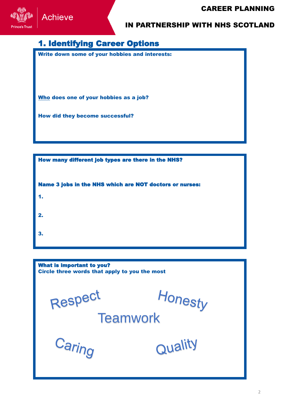

#### 1. Identifying Career Options

Write down some of your hobbies and interests:

Who does one of your hobbies as a job?

How did they become successful?

How many different job types are there in the NHS? Name 3 jobs in the NHS which are NOT doctors or nurses: 1. 2. 3.

What is important to you? Circle three words that apply to you the most t monesty<br>Teamwork Respect Caring Quality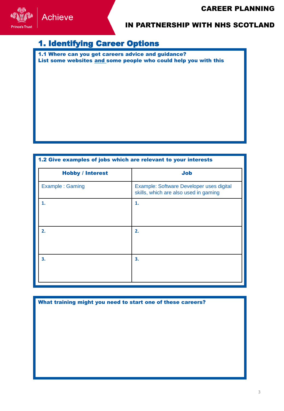

### 1. Identifying Career Options

1.1 Where can you get careers advice and guidance? List some websites and some people who could help you with this

#### 1.2 Give examples of jobs which are relevant to your interests

| <b>Job</b>                                                                        |
|-----------------------------------------------------------------------------------|
| Example: Software Developer uses digital<br>skills, which are also used in gaming |
| 1.                                                                                |
|                                                                                   |
| 2.                                                                                |
|                                                                                   |
| 3.                                                                                |
|                                                                                   |
|                                                                                   |

| What training might you need to start one of these careers? |  |  |  |
|-------------------------------------------------------------|--|--|--|
|                                                             |  |  |  |
|                                                             |  |  |  |
|                                                             |  |  |  |
|                                                             |  |  |  |
|                                                             |  |  |  |
|                                                             |  |  |  |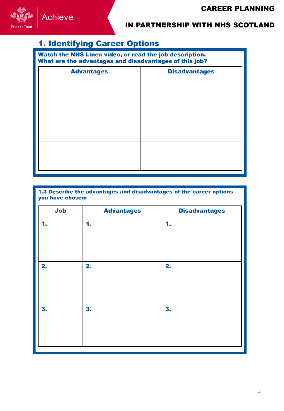

## 1. Identifying Career Options

Watch the NHS Linen video, or read the job description. What are the advantages and disadvantages of this job?

| <b>Advantages</b> | <b>Disadvantages</b> |
|-------------------|----------------------|
|                   |                      |
|                   |                      |
|                   |                      |
|                   |                      |
|                   |                      |
|                   |                      |

| 1.3 Describe the advantages and disadvantages of the career options<br>you have chosen: |                   |                      |
|-----------------------------------------------------------------------------------------|-------------------|----------------------|
| <b>Job</b>                                                                              | <b>Advantages</b> | <b>Disadvantages</b> |
| 1.                                                                                      | 1.                | 1.                   |
| 2.                                                                                      | 2.                | 2.                   |
| 3.                                                                                      | 3.                | 3.                   |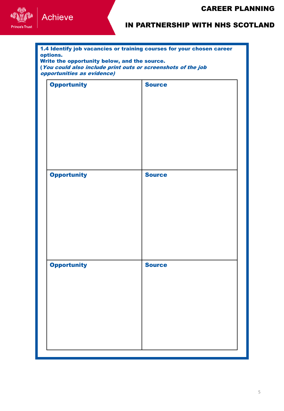

| 1.4 Identify job vacancies or training courses for your chosen career<br>options.<br>Write the opportunity below, and the source.<br>(You could also include print outs or screenshots of the job<br>opportunities as evidence) |               |  |
|---------------------------------------------------------------------------------------------------------------------------------------------------------------------------------------------------------------------------------|---------------|--|
| <b>Opportunity</b>                                                                                                                                                                                                              | <b>Source</b> |  |
| <b>Opportunity</b>                                                                                                                                                                                                              | <b>Source</b> |  |
| <b>Opportunity</b>                                                                                                                                                                                                              | <b>Source</b> |  |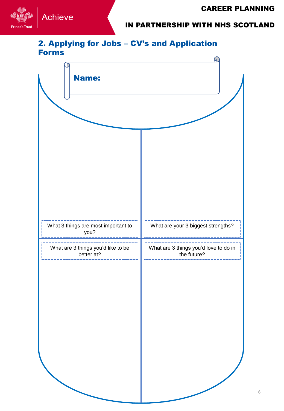

#### 2. Applying for Jobs – CV's and Application Forms

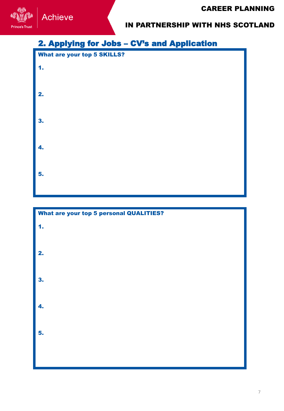

## 2. Applying for Jobs – CV's and Application



# What are your top 5 personal QUALITIES? 1. 2. 3. 4. 5.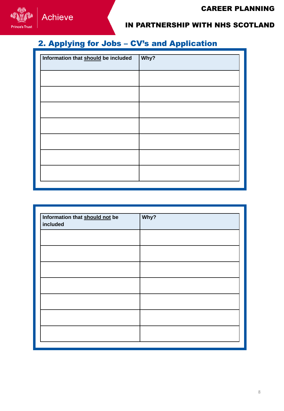

## 2. Applying for Jobs – CV's and Application

| Information that should be included | Why? |
|-------------------------------------|------|
|                                     |      |
|                                     |      |
|                                     |      |
|                                     |      |
|                                     |      |
|                                     |      |
|                                     |      |

| Information that should not be<br>included | Why? |  |
|--------------------------------------------|------|--|
|                                            |      |  |
|                                            |      |  |
|                                            |      |  |
|                                            |      |  |
|                                            |      |  |
|                                            |      |  |
|                                            |      |  |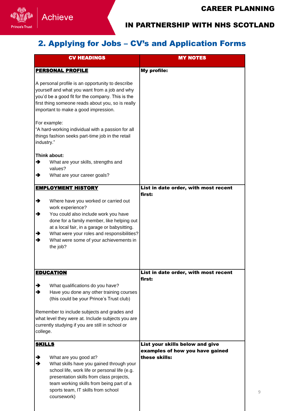

## 2. Applying for Jobs – CV's and Application Forms

| <b>CV HEADINGS</b>                                                                                                                                                                                                                                                                                                     | <b>MY NOTES</b>                                                    |
|------------------------------------------------------------------------------------------------------------------------------------------------------------------------------------------------------------------------------------------------------------------------------------------------------------------------|--------------------------------------------------------------------|
| <b>PERSONAL PROFILE</b>                                                                                                                                                                                                                                                                                                | My profile:                                                        |
| A personal profile is an opportunity to describe<br>yourself and what you want from a job and why<br>you'd be a good fit for the company. This is the<br>first thing someone reads about you, so is really<br>important to make a good impression.<br>For example:                                                     |                                                                    |
| "A hard-working individual with a passion for all<br>things fashion seeks part-time job in the retail<br>industry."                                                                                                                                                                                                    |                                                                    |
| Think about:<br>→<br>What are your skills, strengths and<br>values?<br>What are your career goals?<br>→                                                                                                                                                                                                                |                                                                    |
| <b>EMPLOYMENT HISTORY</b>                                                                                                                                                                                                                                                                                              | List in date order, with most recent<br>first:                     |
| →<br>Where have you worked or carried out<br>work experience?<br>You could also include work you have<br>→<br>done for a family member, like helping out<br>at a local fair, in a garage or babysitting.<br>What were your roles and responsibilities?<br>→<br>→<br>What were some of your achievements in<br>the job? |                                                                    |
| <b>EDUCATION</b>                                                                                                                                                                                                                                                                                                       | List in date order, with most recent<br>first:                     |
| What qualifications do you have?<br>→<br>Have you done any other training courses<br>→<br>(this could be your Prince's Trust club)                                                                                                                                                                                     |                                                                    |
| Remember to include subjects and grades and<br>what level they were at. Include subjects you are<br>currently studying if you are still in school or<br>college.                                                                                                                                                       |                                                                    |
| <b>SKILLS</b>                                                                                                                                                                                                                                                                                                          | List your skills below and give<br>examples of how you have gained |
| What are you good at?<br>→<br>What skills have you gained through your<br>→<br>school life, work life or personal life (e.g.<br>presentation skills from class projects,<br>team working skills from being part of a<br>sports team, IT skills from school<br>coursework)                                              | these skills:                                                      |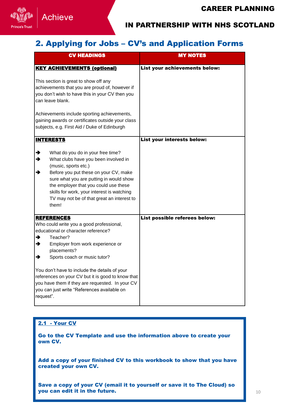

#### 2. Applying for Jobs – CV's and Application Forms

| <b>CV HEADINGS</b>                                                                                                                                                                                                                                                                                                                                 | <b>MY NOTES</b>               |
|----------------------------------------------------------------------------------------------------------------------------------------------------------------------------------------------------------------------------------------------------------------------------------------------------------------------------------------------------|-------------------------------|
| <b>KEY ACHIEVEMENTS (optional)</b>                                                                                                                                                                                                                                                                                                                 | List your achievements below: |
| This section is great to show off any<br>achievements that you are proud of, however if<br>you don't wish to have this in your CV then you<br>can leave blank.                                                                                                                                                                                     |                               |
| Achievements include sporting achievements,<br>gaining awards or certificates outside your class<br>subjects, e.g. First Aid / Duke of Edinburgh                                                                                                                                                                                                   |                               |
| <b>INTERESTS</b>                                                                                                                                                                                                                                                                                                                                   | List your interests below:    |
| What do you do in your free time?<br>→<br>→<br>What clubs have you been involved in<br>(music, sports etc.)<br>→<br>Before you put these on your CV, make<br>sure what you are putting in would show<br>the employer that you could use these<br>skills for work, your interest is watching<br>TV may not be of that great an interest to<br>them! |                               |
| <b>REFERENCES</b><br>Who could write you a good professional,                                                                                                                                                                                                                                                                                      | List possible referees below: |
| educational or character reference?<br>Teacher?<br>→<br>→<br>Employer from work experience or<br>placements?<br>Sports coach or music tutor?<br>→                                                                                                                                                                                                  |                               |
| You don't have to include the details of your<br>references on your CV but it is good to know that<br>you have them if they are requested. In your CV<br>you can just write "References available on<br>request".                                                                                                                                  |                               |

#### 2.1 - Your CV

Go to the CV Template and use the information above to create your own CV.

Add a copy of your finished CV to this workbook to show that you have created your own CV.

Save a copy of your CV (email it to yourself or save it to The Cloud) so you can edit it in the future.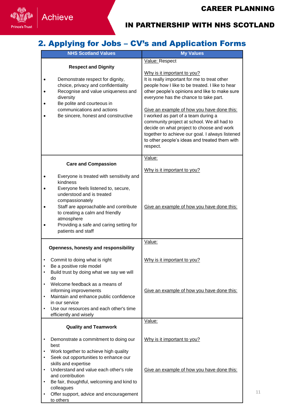

## 2. Applying for Jobs – CV's and Application Forms

| <b>NHS Scotland Values</b>                                                                                                                                                                                                                                                                                                                                                                                                | <b>My Values</b>                                                                                                                                                                                                                                                                                                                                                                                                                                                                                                         |
|---------------------------------------------------------------------------------------------------------------------------------------------------------------------------------------------------------------------------------------------------------------------------------------------------------------------------------------------------------------------------------------------------------------------------|--------------------------------------------------------------------------------------------------------------------------------------------------------------------------------------------------------------------------------------------------------------------------------------------------------------------------------------------------------------------------------------------------------------------------------------------------------------------------------------------------------------------------|
|                                                                                                                                                                                                                                                                                                                                                                                                                           | Value: Respect                                                                                                                                                                                                                                                                                                                                                                                                                                                                                                           |
| <b>Respect and Dignity</b><br>Demonstrate respect for dignity,<br>choice, privacy and confidentiality<br>Recognise and value uniqueness and<br>diversity<br>Be polite and courteous in<br>communications and actions<br>Be sincere, honest and constructive                                                                                                                                                               | Why is it important to you?<br>It is really important for me to treat other<br>people how I like to be treated. I like to hear<br>other people's opinions and like to make sure<br>everyone has the chance to take part.<br>Give an example of how you have done this:<br>I worked as part of a team during a<br>community project at school. We all had to<br>decide on what project to choose and work<br>together to achieve our goal. I always listened<br>to other people's ideas and treated them with<br>respect. |
|                                                                                                                                                                                                                                                                                                                                                                                                                           | Value:                                                                                                                                                                                                                                                                                                                                                                                                                                                                                                                   |
| <b>Care and Compassion</b><br>Everyone is treated with sensitivity and<br>kindness<br>Everyone feels listened to, secure,                                                                                                                                                                                                                                                                                                 | Why is it important to you?                                                                                                                                                                                                                                                                                                                                                                                                                                                                                              |
| understood and is treated<br>compassionately<br>Staff are approachable and contribute<br>to creating a calm and friendly<br>atmosphere<br>Providing a safe and caring setting for<br>patients and staff                                                                                                                                                                                                                   | Give an example of how you have done this:                                                                                                                                                                                                                                                                                                                                                                                                                                                                               |
|                                                                                                                                                                                                                                                                                                                                                                                                                           | Value:                                                                                                                                                                                                                                                                                                                                                                                                                                                                                                                   |
| Openness, honesty and responsibility<br>Commit to doing what is right<br>$\bullet$<br>Be a positive role model<br>Build trust by doing what we say we will<br>do<br>Welcome feedback as a means of<br>informing improvements<br>Maintain and enhance public confidence<br>$\bullet$<br>in our service<br>Use our resources and each other's time<br>efficiently and wisely                                                | Why is it important to you?<br>Give an example of how you have done this:                                                                                                                                                                                                                                                                                                                                                                                                                                                |
|                                                                                                                                                                                                                                                                                                                                                                                                                           | Value:                                                                                                                                                                                                                                                                                                                                                                                                                                                                                                                   |
| <b>Quality and Teamwork</b><br>Demonstrate a commitment to doing our<br>$\bullet$<br>best<br>Work together to achieve high quality<br>٠<br>Seek out opportunities to enhance our<br>$\bullet$<br>skills and expertise<br>Understand and value each other's role<br>$\bullet$<br>and contribution<br>Be fair, thoughtful, welcoming and kind to<br>٠<br>colleagues<br>Offer support, advice and encouragement<br>to others | Why is it important to you?<br>Give an example of how you have done this:                                                                                                                                                                                                                                                                                                                                                                                                                                                |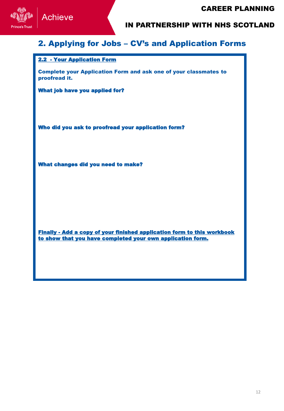

#### 2. Applying for Jobs – CV's and Application Forms

#### 2.2 - Your Application Form

Complete your Application Form and ask one of your classmates to proofread it.

What job have you applied for?

Who did you ask to proofread your application form?

What changes did you need to make?

Finally - Add a copy of your finished application form to this workbook to show that you have completed your own application form.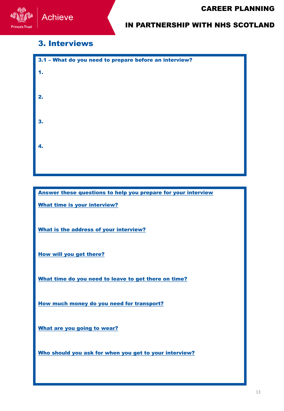

#### 3. Interviews

| 3.1 - What do you need to prepare before an interview? |
|--------------------------------------------------------|
| 1.                                                     |
|                                                        |
| 2.                                                     |
|                                                        |
| 3.                                                     |
|                                                        |
|                                                        |
| 4.                                                     |
|                                                        |
|                                                        |

Answer these questions to help you prepare for your interview

What time is your interview?

alongside

What is the address of your interview?

How will you get there?

What time do you need to leave to get there on time?

How much money do you need for transport?

What are you going to wear?

Who should you ask for when you get to your interview?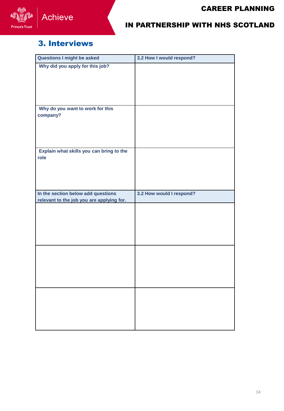

#### 3. Interviews

| <b>Questions I might be asked</b>         | 3.2 How I would respond? |
|-------------------------------------------|--------------------------|
| Why did you apply for this job?           |                          |
|                                           |                          |
|                                           |                          |
|                                           |                          |
|                                           |                          |
| Why do you want to work for this          |                          |
| company?                                  |                          |
|                                           |                          |
|                                           |                          |
|                                           |                          |
| Explain what skills you can bring to the  |                          |
| role                                      |                          |
|                                           |                          |
|                                           |                          |
|                                           |                          |
| In the section below add questions        | 3.2 How would I respond? |
| relevant to the job you are applying for. |                          |
|                                           |                          |
|                                           |                          |
|                                           |                          |
|                                           |                          |
|                                           |                          |
|                                           |                          |
|                                           |                          |
|                                           |                          |
|                                           |                          |
|                                           |                          |
|                                           |                          |
|                                           |                          |
|                                           |                          |
|                                           |                          |
|                                           |                          |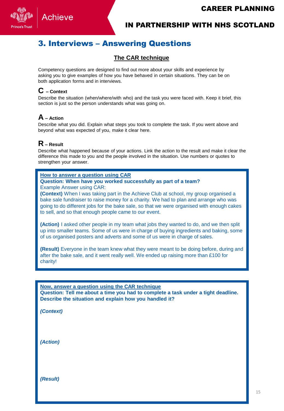

#### 3. Interviews – Answering Questions

#### **The CAR technique**

Competency questions are designed to find out more about your skills and experience by asking you to give examples of how you have behaved in certain situations. They can be on both application forms and in interviews.

#### **C – Context**

Describe the situation (when/where/with who) and the task you were faced with. Keep it brief, this section is just so the person understands what was going on.

#### **A – Action**

Describe what you did. Explain what steps you took to complete the task. If you went above and beyond what was expected of you, make it clear here.

#### **R – Result**

Describe what happened because of your actions. Link the action to the result and make it clear the difference this made to you and the people involved in the situation. Use numbers or quotes to strengthen your answer.

**How to answer a question using CAR**

**Question: When have you worked successfully as part of a team?** Example Answer using CAR:

**(Context)** When I was taking part in the Achieve Club at school, my group organised a bake sale fundraiser to raise money for a charity. We had to plan and arrange who was going to do different jobs for the bake sale, so that we were organised with enough cakes to sell, and so that enough people came to our event.

**(Action)** I asked other people in my team what jobs they wanted to do, and we then split up into smaller teams. Some of us were in charge of buying ingredients and baking, some of us organised posters and adverts and some of us were in charge of sales.

**(Result)** Everyone in the team knew what they were meant to be doing before, during and after the bake sale, and it went really well. We ended up raising more than £100 for charity!

#### **Now, answer a question using the CAR technique**

**Question: Tell me about a time you had to complete a task under a tight deadline. Describe the situation and explain how you handled it?**

*(Context)* 

*(Action)* 

*(Result)*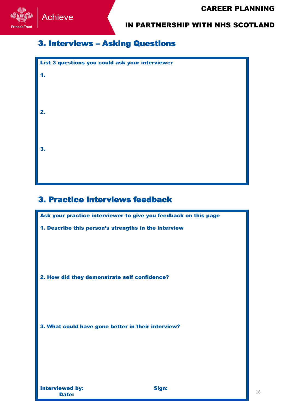

#### 3. Interviews – Asking Questions

| List 3 questions you could ask your interviewer |
|-------------------------------------------------|
| 1.                                              |
|                                                 |
|                                                 |
|                                                 |
| 2.                                              |
|                                                 |
|                                                 |
| 3.                                              |
|                                                 |
|                                                 |
|                                                 |

#### 3. Practice interviews feedback

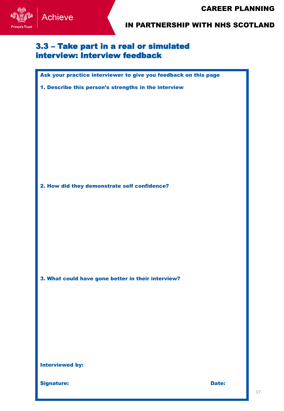

#### 3.3 – Take part in a real or simulated interview: Interview feedback

Ask your practice interviewer to give you feedback on this page

1. Describe this person's strengths in the interview

2. How did they demonstrate self confidence?

3. What could have gone better in their interview?

Interviewed by:

Signature: **Date: Date: Date: Date: Date: Date: Date: Date: Date: Date: Date: Date: Date: Date: Date: Date: Date: Date: Date: Date: Date: Date: Date: Date: Date: Date: Da**